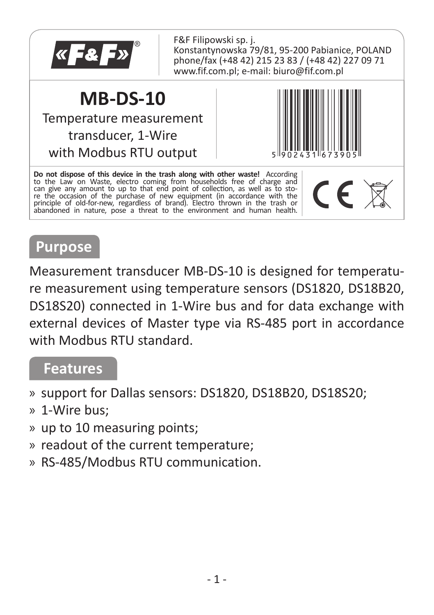

F&F Filipowski sp. j. Konstantynowska 79/81, 95-200 Pabianice, POLAND phone/fax (+48 42) 215 23 83 / (+48 42) 227 09 71 www.fif.com.pl; e-mail: biuro@fif.com.pl

## **MB-DS-10**

Temperature measurement transducer, 1-Wire with Modbus RTU output



**Do not dispose of this device in the trash along with other waste!** According to the Law on Waste, electro coming from households free of charge and can give any amount to up to that end point of collection, as well as to sto-<br>re the occasion of the purchase of new equipment (in accordance with the principle of old-for-new, regardless of brand). Electro thrown in the trash or abandoned in nature, pose a threat to the environment and human health.



## **Purpose**

Measurement transducer MB-DS-10 is designed for temperature measurement using temperature sensors (DS1820, DS18B20, DS18S20) connected in 1-Wire bus and for data exchange with external devices of Master type via RS-485 port in accordance with Modbus RTU standard.

### **Features**

- » support for Dallas sensors: DS1820, DS18B20, DS18S20;
- » 1-Wire bus;
- » up to 10 measuring points;
- » readout of the current temperature;
- » RS-485/Modbus RTU communication.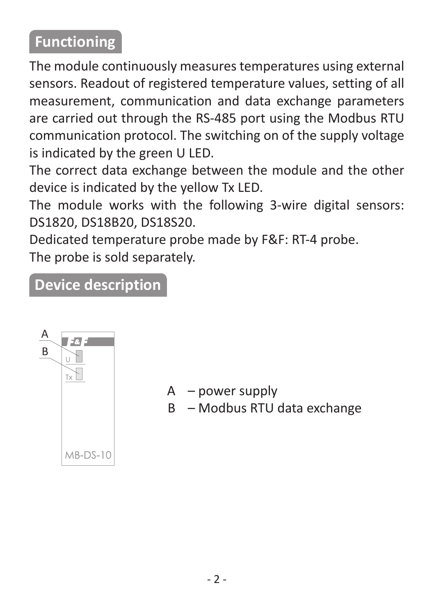# **Functioning**

The module continuously measures temperatures using external sensors. Readout of registered temperature values, setting of all measurement, communication and data exchange parameters are carried out through the RS-485 port using the Modbus RTU communication protocol. The switching on of the supply voltage is indicated by the green U LED.

The correct data exchange between the module and the other device is indicated by the yellow Tx LED.

The module works with the following 3-wire digital sensors: DS1820, DS18B20, DS18S20.

Dedicated temperature probe made by F&F: RT-4 probe. The probe is sold separately.

## **Device description**



- $A$  nower supply
- B Modbus RTU data exchange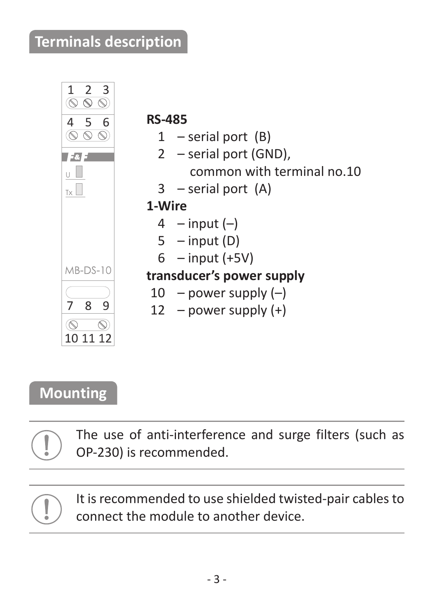## **Terminals description**



# **Mounting**

The use of anti-interference and surge filters (such as OP-230) is recommended.

It is recommended to use shielded twisted-pair cables to connect the module to another device.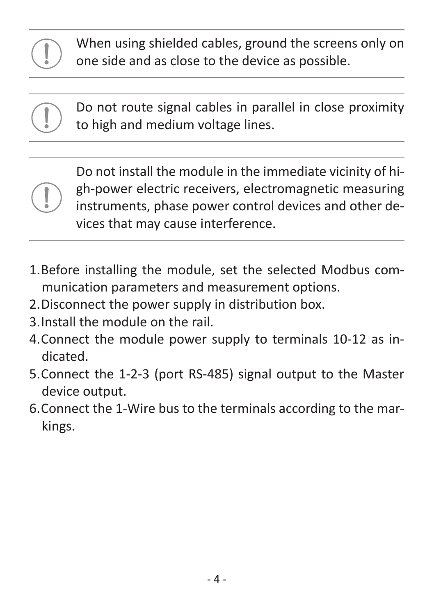



Do not install the module in the immediate vicinity of high-power electric receivers, electromagnetic measuring instruments, phase power control devices and other devices that may cause interference.

- 1. Before installing the module, set the selected Modbus communication parameters and measurement options.
- 2. Disconnect the power supply in distribution box.
- 3. Install the module on the rail.
- 4. Connect the module power supply to terminals 10-12 as indicated.
- 5. Connect the 1-2-3 (port RS-485) signal output to the Master device output.
- 6. Connect the 1-Wire bus to the terminals according to the markings.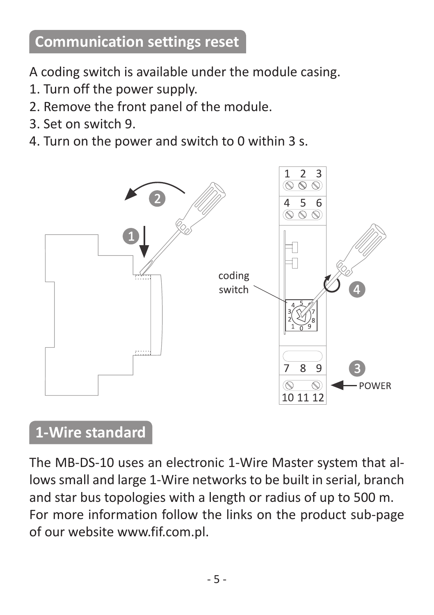# **Communication settings reset**

A coding switch is available under the module casing.

- 1. Turn off the power supply.
- 2. Remove the front panel of the module.
- 3. Set on switch 9.
- 4. Turn on the power and switch to 0 within 3 s.



## **1-Wire standard**

The MB-DS-10 uses an electronic 1-Wire Master system that allows small and large 1-Wire networks to be built in serial, branch and star bus topologies with a length or radius of up to 500 m. For more information follow the links on the product sub-page of our website www.fif.com.pl.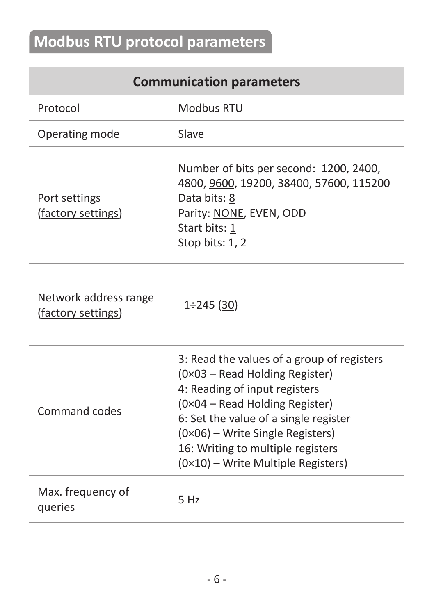# **Modbus RTU protocol parameters**

## **Communication parameters**

| Protocol                                    | Modbus RTU                                                                                                                                                                                                                                                                                              |
|---------------------------------------------|---------------------------------------------------------------------------------------------------------------------------------------------------------------------------------------------------------------------------------------------------------------------------------------------------------|
| Operating mode                              | Slave                                                                                                                                                                                                                                                                                                   |
| Port settings<br>(factory settings)         | Number of bits per second: 1200, 2400,<br>4800, 9600, 19200, 38400, 57600, 115200<br>Data bits: 8<br>Parity: NONE, EVEN, ODD<br>Start bits: 1<br>Stop bits: 1, 2                                                                                                                                        |
| Network address range<br>(factory settings) | $1\div 245$ (30)                                                                                                                                                                                                                                                                                        |
| Command codes                               | 3: Read the values of a group of registers<br>(0×03 - Read Holding Register)<br>4: Reading of input registers<br>(0×04 - Read Holding Register)<br>6: Set the value of a single register<br>(0×06) - Write Single Registers)<br>16: Writing to multiple registers<br>(0×10) - Write Multiple Registers) |
| Max. frequency of<br>queries                | 5 Hz                                                                                                                                                                                                                                                                                                    |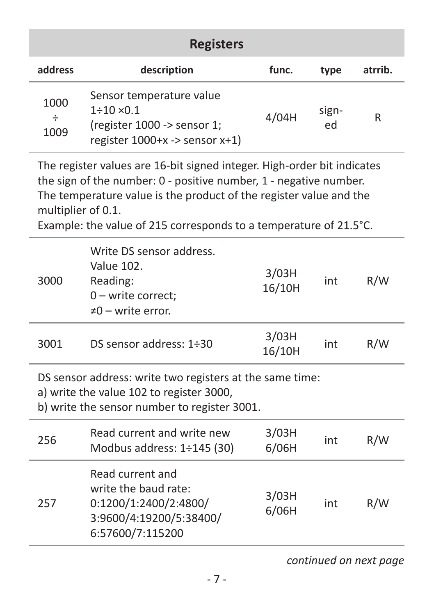|                   | <b>Registers</b>                                                                                                                  |       |             |         |
|-------------------|-----------------------------------------------------------------------------------------------------------------------------------|-------|-------------|---------|
| address           | description                                                                                                                       | func. | type        | atrrib. |
| 1000<br>÷<br>1009 | Sensor temperature value<br>$1 \div 10 \times 0.1$<br>(register 1000 -> sensor 1;<br>register $1000+x \rightarrow$ sensor $x+1$ ) | 4/04H | sign-<br>ed | R       |

The register values are 16-bit signed integer. High-order bit indicates the sign of the number: 0 - positive number, 1 - negative number. The temperature value is the product of the register value and the multiplier of 0.1.

Example: the value of 215 corresponds to a temperature of 21.5°C.

| 3000 | Write DS sensor address.<br>Value 102<br>Reading:<br>$0$ – write correct:<br>$\neq 0$ – write error.                                                 | 3/03H<br>16/10H | int | R/W |
|------|------------------------------------------------------------------------------------------------------------------------------------------------------|-----------------|-----|-----|
| 3001 | DS sensor address: $1\div30$                                                                                                                         | 3/03H<br>16/10H | int | R/W |
|      | DS sensor address: write two registers at the same time:<br>a) write the value 102 to register 3000,<br>b) write the sensor number to register 3001. |                 |     |     |
| 256  | Read current and write new<br>Modbus address: 1÷145 (30)                                                                                             | 3/03H<br>6/06H  | int | R/W |
| 257  | Read current and<br>write the baud rate:<br>0:1200/1:2400/2:4800/<br>3:9600/4:19200/5:38400/<br>6:57600/7:115200                                     | 3/03H<br>6/06H  | int | R/W |

*continued on next page*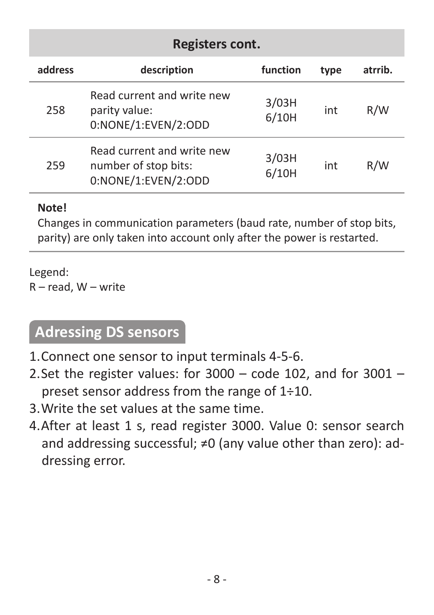|         | Registers cont.                                                           |                |      |         |  |  |
|---------|---------------------------------------------------------------------------|----------------|------|---------|--|--|
| address | description                                                               | function       | type | atrrib. |  |  |
| 258     | Read current and write new<br>parity value:<br>0:NONE/1:EVEN/2:ODD        | 3/03H<br>6/10H | int  | R/W     |  |  |
| 259     | Read current and write new<br>number of stop bits:<br>0:NONE/1:EVEN/2:ODD | 3/03H<br>6/10H | int  | R/W     |  |  |

#### **Note!**

Changes in communication parameters (baud rate, number of stop bits, parity) are only taken into account only after the power is restarted.

Legend: R – read, W – write

## **Adressing DS sensors**

- 1. Connect one sensor to input terminals 4-5-6.
- 2. Set the register values: for 3000 code 102, and for 3001 preset sensor address from the range of 1÷10.
- 3. Write the set values at the same time.
- 4. After at least 1 s, read register 3000. Value 0: sensor search and addressing successful; ≠0 (any value other than zero): addressing error.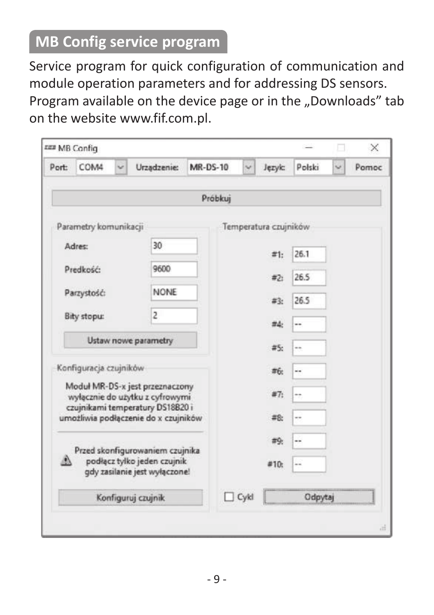# **MB Config service program**

Service program for quick configuration of communication and module operation parameters and for addressing DS sensors. Program available on the device page or in the "Downloads" tab on the website www.fif.com.pl.

|                                                                                                                                                | EEE MB Config          |  |                    |                 |              |                       |         | $\times$ |
|------------------------------------------------------------------------------------------------------------------------------------------------|------------------------|--|--------------------|-----------------|--------------|-----------------------|---------|----------|
| Port:                                                                                                                                          | COM4                   |  | Urządzenie:        | <b>MR-DS-10</b> | $\checkmark$ | Jezyk:                | Polski  | Pomoc    |
|                                                                                                                                                |                        |  |                    | Próbkuj         |              |                       |         |          |
|                                                                                                                                                | Parametry komunikacji  |  |                    |                 |              | Temperatura czujników |         |          |
|                                                                                                                                                | 30<br>Adres:           |  |                    |                 | #1:          | 26.1                  |         |          |
| 9600<br>Predkość:                                                                                                                              |                        |  |                    | #2i             | 26.5         |                       |         |          |
|                                                                                                                                                | Parzystość:            |  | <b>NONE</b>        |                 |              | #3:                   | 26.5    |          |
|                                                                                                                                                | Bity stopu:            |  | 2                  |                 |              | #4:                   |         |          |
|                                                                                                                                                | Ustaw nowe parametry   |  |                    |                 |              | #5:                   | ۰.      |          |
|                                                                                                                                                | Konfiguracja czujników |  |                    |                 |              | #6:                   | $\sim$  |          |
| Moduł MR-DS-x jest przeznaczony<br>wyłącznie do użytku z cyfrowymi<br>czujnikami temperatury DS18B20 i<br>umożliwia podłączenie do x czujników |                        |  |                    | #7:             |              |                       |         |          |
|                                                                                                                                                |                        |  |                    | #8:             |              |                       |         |          |
| Przed skonfigurowaniem czujnika<br>podłącz tylko jeden czujnik<br>gdy zasilanie jest wyłączone!                                                |                        |  |                    | #9:             |              |                       |         |          |
|                                                                                                                                                |                        |  |                    | #10.            |              |                       |         |          |
|                                                                                                                                                |                        |  | Konfiguruj czujnik |                 | $\Box$ Cykl  |                       | Odpytaj |          |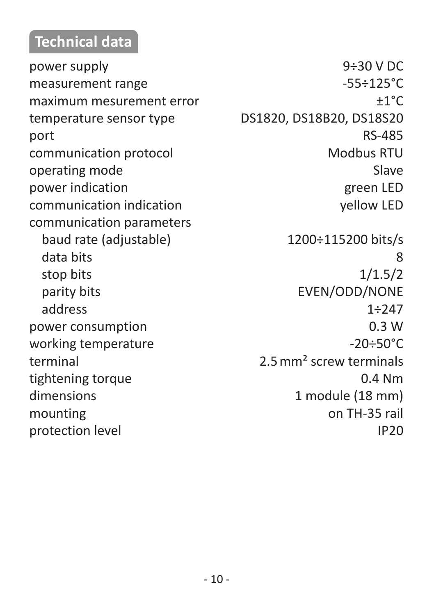## **Technical data**

measurement range -55÷125°C maximum mesurement error ±1°C temperature sensor type DS1820, DS18B20, DS18S20 port RS-485 communication protocol Modbus RTU operating mode Slave power indication<br>
power indication indication<br>
communication indication<br>
growthen the set of the vellow LED<br>
vellow LED communication indication communication parameters baud rate (adjustable) 1200÷115200 bits/s data bits 8 stop bits 1/1.5/2 parity bits **EVEN/ODD/NONE** address 1÷247 power consumption 0.3 W working temperature  $-20 \div 50^{\circ}$ C terminal 2.5mm<sup>2</sup> screw terminals tightening torque 0.4 Nm dimensions 1 module (18 mm) mounting on TH-35 rail

power supply 9÷30 V DC protection level and in the set of the IP20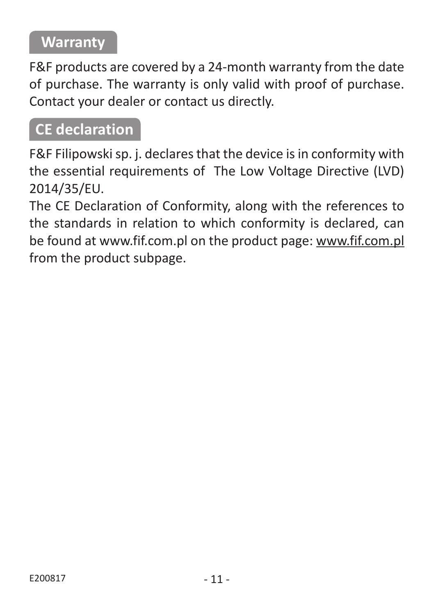# **Warranty**

F&F products are covered by a 24-month warranty from the date of purchase. The warranty is only valid with proof of purchase. Contact your dealer or contact us directly.

## **CE declaration**

F&F Filipowski sp. j. declares that the device is in conformity with the essential requirements of The Low Voltage Directive (LVD) 2014/35/EU.

The CE Declaration of Conformity, along with the references to the standards in relation to which conformity is declared, can be found at www.fif.com.pl on the product page: www.fif.com.pl from the product subpage.